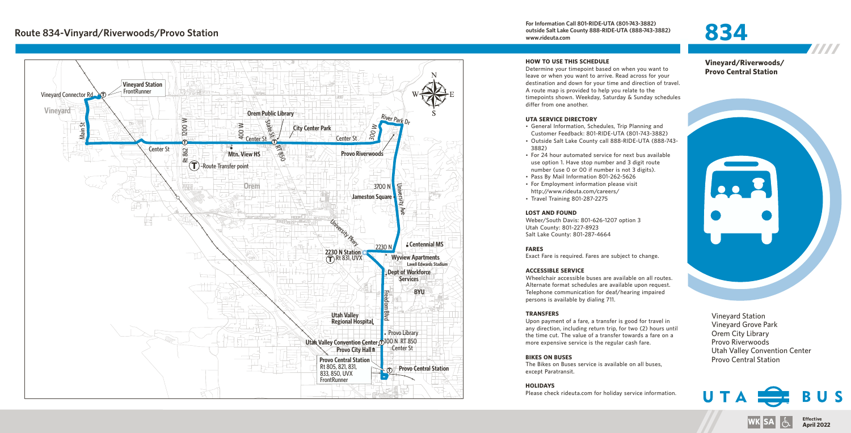**For Information Call 801-RIDE-UTA (801-743-3882) outside Salt Lake County 888-RIDE-UTA (888-743-3882) www.rideuta.com**

# **834**



### **HOW TO USE THIS SCHEDULE**

Determine your timepoint based on when you want to leave or when you want to arrive. Read across for your destination and down for your time and direction of travel. A route map is provided to help you relate to the timepoints shown. Weekday, Saturday & Sunday schedules differ from one another.

#### **UTA SERVICE DIRECTORY**

- General Information, Schedules, Trip Planning and Customer Feedback: 801-RIDE-UTA (801-743-3882)
- Outside Salt Lake County call 888-RIDE-UTA (888-743-3882)
- For 24 hour automated service for next bus available use option 1. Have stop number and 3 digit route number (use 0 or 00 if number is not 3 digits).
- Pass By Mail Information 801-262-5626
- For Employment information please visit http://www.rideuta.com/careers/
- $\cdot$  Travel Training 801-287-2275

#### **LOST AND FOUND**

Weber/South Davis: 801-626-1207 option 3 Utah County: 801-227-8923 Salt Lake County: 801-287-4664

## **FARES**

Exact Fare is required. Fares are subject to change.

#### **ACCESSIBLE SERVICE**

Wheelchair accessible buses are available on all routes. Alternate format schedules are available upon request. Telephone communication for deaf/hearing impaired persons is available by dialing 711.

#### **TRANSFERS**

Upon payment of a fare, a transfer is good for travel in any direction, including return trip, for two (2) hours until the time cut. The value of a transfer towards a fare on a more expensive service is the regular cash fare.

## **BIKES ON BUSES**

The Bikes on Buses service is available on all buses, except Paratransit.

## **HOLIDAYS**

Please check rideuta.com for holiday service information.

**Vineyard/Riverwoods/ Provo Central Station**



Vineyard Station Vineyard Grove Park Orem City Library Provo Riverwoods Utah Valley Convention Center Provo Central Station



**Effective WK SA April 2022**

777